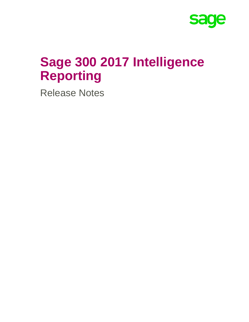

# **Sage 300 2017 Intelligence Reporting**

Release Notes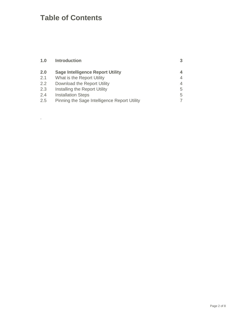# **Table of Contents**

.

| 1.0 | <b>Introduction</b>                          |   |
|-----|----------------------------------------------|---|
| 2.0 | <b>Sage Intelligence Report Utility</b>      |   |
| 2.1 | What is the Report Utility                   | 4 |
| 2.2 | Download the Report Utility                  | 4 |
| 2.3 | Installing the Report Utility                | 5 |
| 2.4 | <b>Installation Steps</b>                    | 5 |
| 2.5 | Pinning the Sage Intelligence Report Utility |   |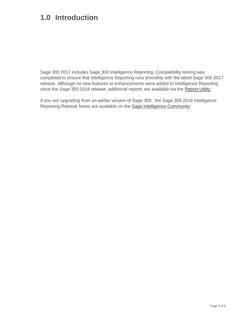## <span id="page-2-0"></span>**1.0 Introduction**

Sage 300 2017 includes Sage 300 Intelligence Reporting. Compatibility testing was completed to ensure that Intelligence Reporting runs smoothly with the latest Sage 300 2017 release. Although no new features or enhancements were added to Intelligence Reporting since the Sage 300 2016 release, additional reports are available via the [Report Utility.](https://www.sageintelligence.com/report-utility/sage-300/)

If you are upgrading from an earlier version of Sage 300, the Sage 300 2016 Intelligence Reporting Release Notes are available on the [Sage Intelligence Community.](http://www.sageintelligencecommunity.com/group/sage300erpintelligence)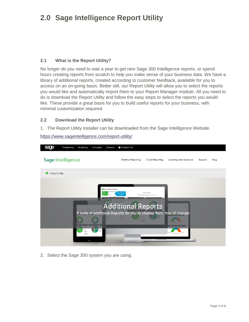# <span id="page-3-0"></span>**2.0 Sage Intelligence Report Utility**

### <span id="page-3-1"></span>**2.1 What is the Report Utility?**

No longer do you need to wait a year to get new Sage 300 Intelligence reports, or spend hours creating reports from scratch to help you make sense of your business data. We have a library of additional reports, created according to customer feedback, available for you to access on an on-going basis. Better still, our Report Utility will allow you to select the reports you would like and automatically import them to your Report Manager module. All you need to do is download the Report Utility and follow the easy steps to select the reports you would like. These provide a great basis for you to build useful reports for your business, with minimal customization required.

### <span id="page-3-2"></span>**2.2 Download the Report Utility**

1. The Report Utility installer can be downloaded from the Sage Intelligence Website.

<https://www.sageintelligence.com/report-utility/>



2. Select the Sage 300 system you are using.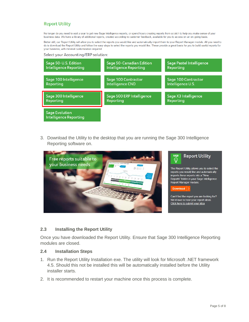## **Report Utility**

No longer do you need to wait a year to get new Sage Intelligence reports, or spend hours creating reports from scratch to help you make sense of your business data. We have a library of additional reports, created according to customer feedback, available for you to access on an on-going basis.

Better still, our Report Utility will allow you to select the reports you would like and automatically import them to your Report Manager module. All you need to do is download the Report Utility and follow the easy steps to select the reports you would like. These provide a great basis for you to build useful reports for vour business, with minimal customization required

#### Select your Accounting/ERP solution:



3. Download the Utility to the desktop that you are running the Sage 300 Intelligence Reporting software on.



#### <span id="page-4-0"></span>**2.3 Installing the Report Utility**

Once you have downloaded the Report Utility. Ensure that Sage 300 Intelligence Reporting modules are closed.

#### <span id="page-4-1"></span>**2.4 Installation Steps**

- 1. Run the Report Utility Installation exe. The utility will look for Microsoft .NET framework 4.5. Should this not be installed this will be automatically installed before the Utility installer starts.
- 2. It is recommended to restart your machine once this process is complete.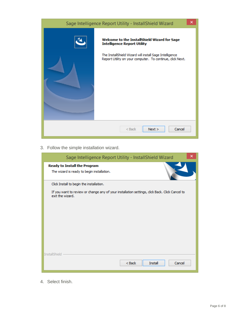| Sage Intelligence Report Utility - InstallShield Wizard                                                                                                                                                    | ×                |  |
|------------------------------------------------------------------------------------------------------------------------------------------------------------------------------------------------------------|------------------|--|
| Welcome to the InstallShield Wizard for Sage<br><b>Intelligence Report Utility</b><br>The InstallShield Wizard will install Sage Intelligence<br>Report Utility on your computer. To continue, click Next. |                  |  |
| $<$ Back                                                                                                                                                                                                   | Cancel<br>Next > |  |

3. Follow the simple installation wizard.

| ×<br>Sage Intelligence Report Utility - InstallShield Wizard                                                       |  |
|--------------------------------------------------------------------------------------------------------------------|--|
| <b>Ready to Install the Program</b><br>The wizard is ready to begin installation.                                  |  |
| Click Install to begin the installation.                                                                           |  |
| If you want to review or change any of your installation settings, click Back. Click Cancel to<br>exit the wizard. |  |
|                                                                                                                    |  |
|                                                                                                                    |  |
|                                                                                                                    |  |
|                                                                                                                    |  |
|                                                                                                                    |  |
| InstallShield                                                                                                      |  |
| Install<br>Cancel<br>$Back$                                                                                        |  |

4. Select finish.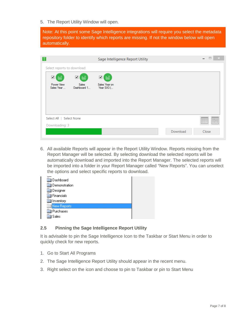5. The Report Utility Window will open.

Note: At this point some Sage Intelligence integrations will require you select the metadata repository folder to identify which reports are missing. If not the window below will open automatically.

| $\sqrt{2}$                                              | Sage Intelligence Report Utility |          | $\Box$<br>$- \times$<br>$\overline{\phantom{0}}$ |
|---------------------------------------------------------|----------------------------------|----------|--------------------------------------------------|
| Select reports to download:                             |                                  |          |                                                  |
| ☑<br>☑<br>OoU<br>OoU                                    | ☑<br><u>OoU</u>                  |          |                                                  |
| Power View<br><b>Sales</b><br>Dashboard 1<br>Sales Year | Sales Year on<br>Year SX3 (      |          |                                                  |
|                                                         |                                  |          |                                                  |
|                                                         |                                  |          |                                                  |
|                                                         |                                  |          |                                                  |
| Select All   Select None                                |                                  |          | 8888<br>EEC<br>0000                              |
| Downloading: 3                                          |                                  |          |                                                  |
|                                                         |                                  | Download | Close                                            |

6. All available Reports will appear in the Report Utility Window. Reports missing from the Report Manager will be selected. By selecting download the selected reports will be automatically download and imported into the Report Manager. The selected reports will be imported into a folder in your Report Manager called "New Reports". You can unselect the options and select specific reports to download.

| Dashboard          |  |
|--------------------|--|
| Demonstration      |  |
| ] Designer         |  |
| Financials         |  |
| Inventory          |  |
| <b>New Reports</b> |  |
| Purchases          |  |
| Sales              |  |

### <span id="page-6-0"></span>**2.5 Pinning the Sage Intelligence Report Utility**

It is advisable to pin the Sage Intelligence Icon to the Taskbar or Start Menu in order to quickly check for new reports.

- 1. Go to Start All Programs
- 2. The Sage Intelligence Report Utility should appear in the recent menu.
- 3. Right select on the icon and choose to pin to Taskbar or pin to Start Menu